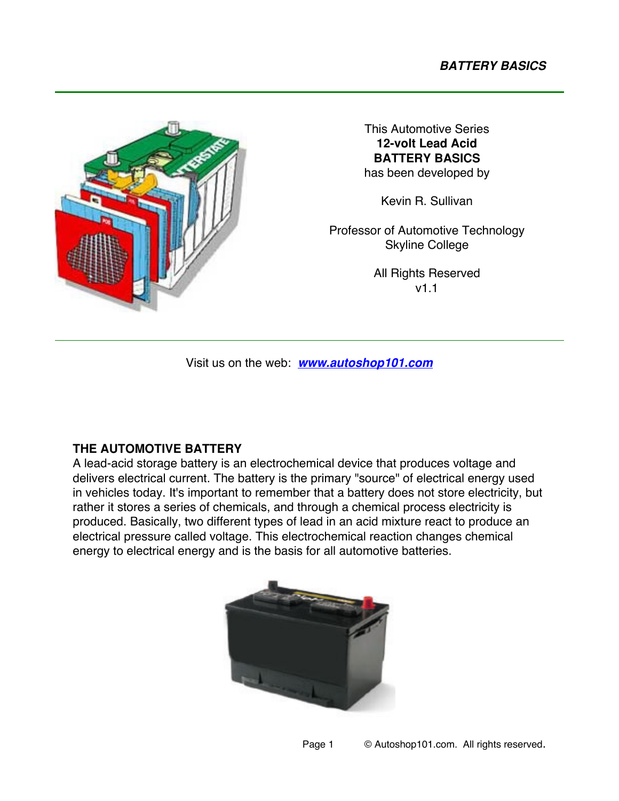

This Automotive Series **12-volt Lead Acid BATTERY BASICS** has been developed by

Kevin R. Sullivan

Professor of Automotive Technology Skyline College

> All Rights Reserved v1.1

Visit us on the web: *www.autoshop101.com*

# **THE AUTOMOTIVE BATTERY**

A lead-acid storage battery is an electrochemical device that produces voltage and delivers electrical current. The battery is the primary "source" of electrical energy used in vehicles today. It's important to remember that a battery does not store electricity, but rather it stores a series of chemicals, and through a chemical process electricity is produced. Basically, two different types of lead in an acid mixture react to produce an electrical pressure called voltage. This electrochemical reaction changes chemical energy to electrical energy and is the basis for all automotive batteries.

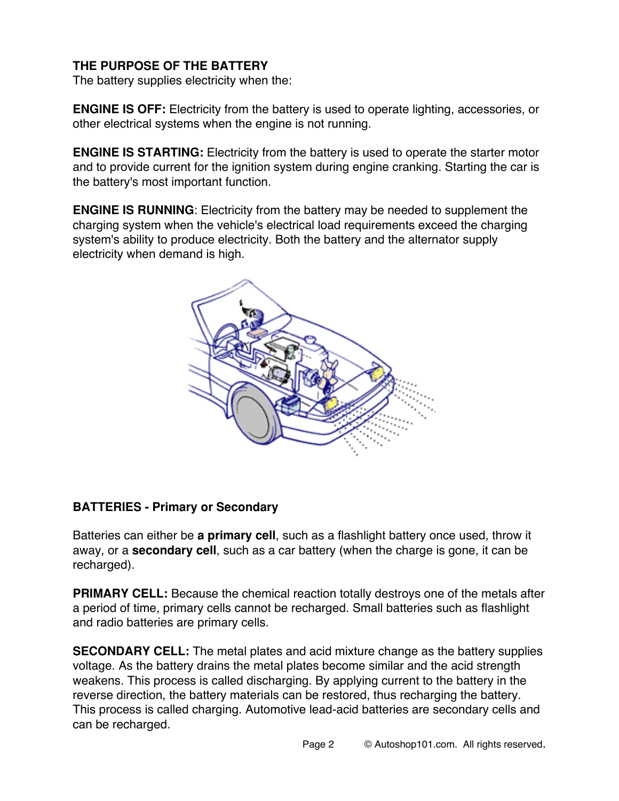# **THE PURPOSE OF THE BATTERY**

The battery supplies electricity when the:

**ENGINE IS OFF:** Electricity from the battery is used to operate lighting, accessories, or other electrical systems when the engine is not running.

**ENGINE IS STARTING:** Electricity from the battery is used to operate the starter motor and to provide current for the ignition system during engine cranking. Starting the car is the battery's most important function.

**ENGINE IS RUNNING**: Electricity from the battery may be needed to supplement the charging system when the vehicle's electrical load requirements exceed the charging system's ability to produce electricity. Both the battery and the alternator supply electricity when demand is high.



### **BATTERIES - Primary or Secondary**

Batteries can either be **a primary cell**, such as a flashlight battery once used, throw it away, or a **secondary cell**, such as a car battery (when the charge is gone, it can be recharged).

**PRIMARY CELL:** Because the chemical reaction totally destroys one of the metals after a period of time, primary cells cannot be recharged. Small batteries such as flashlight and radio batteries are primary cells.

**SECONDARY CELL:** The metal plates and acid mixture change as the battery supplies voltage. As the battery drains the metal plates become similar and the acid strength weakens. This process is called discharging. By applying current to the battery in the reverse direction, the battery materials can be restored, thus recharging the battery. This process is called charging. Automotive lead-acid batteries are secondary cells and can be recharged.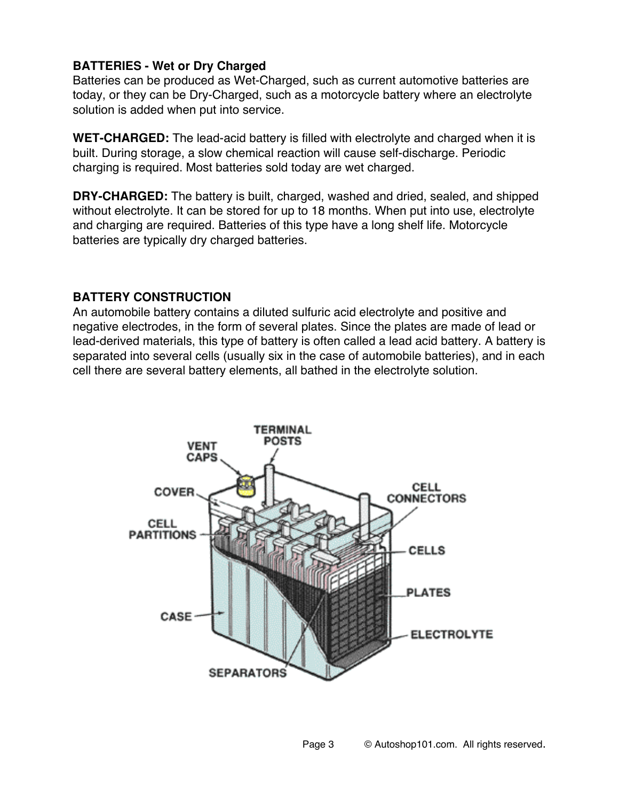### **BATTERIES - Wet or Dry Charged**

Batteries can be produced as Wet-Charged, such as current automotive batteries are today, or they can be Dry-Charged, such as a motorcycle battery where an electrolyte solution is added when put into service.

**WET-CHARGED:** The lead-acid battery is filled with electrolyte and charged when it is built. During storage, a slow chemical reaction will cause self-discharge. Periodic charging is required. Most batteries sold today are wet charged.

**DRY-CHARGED:** The battery is built, charged, washed and dried, sealed, and shipped without electrolyte. It can be stored for up to 18 months. When put into use, electrolyte and charging are required. Batteries of this type have a long shelf life. Motorcycle batteries are typically dry charged batteries.

## **BATTERY CONSTRUCTION**

An automobile battery contains a diluted sulfuric acid electrolyte and positive and negative electrodes, in the form of several plates. Since the plates are made of lead or lead-derived materials, this type of battery is often called a lead acid battery. A battery is separated into several cells (usually six in the case of automobile batteries), and in each cell there are several battery elements, all bathed in the electrolyte solution.

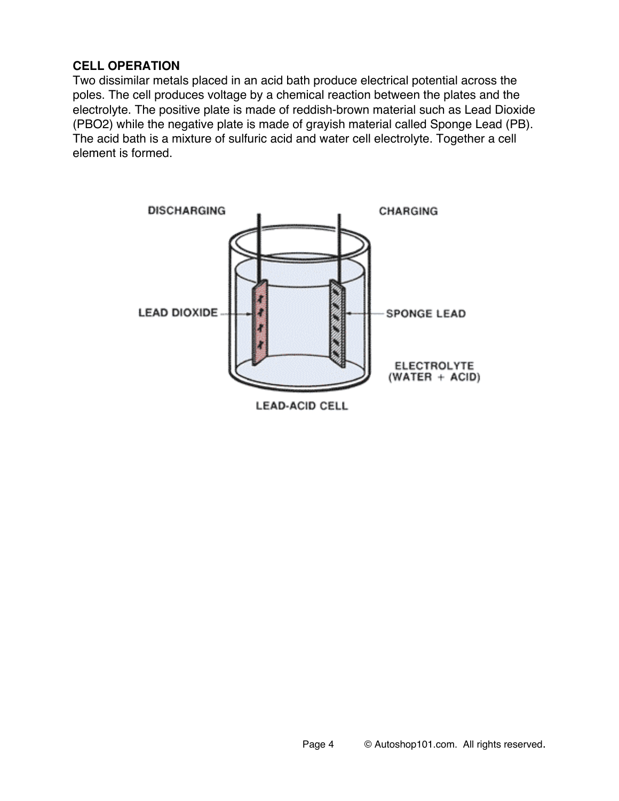## **CELL OPERATION**

Two dissimilar metals placed in an acid bath produce electrical potential across the poles. The cell produces voltage by a chemical reaction between the plates and the electrolyte. The positive plate is made of reddish-brown material such as Lead Dioxide (PBO2) while the negative plate is made of grayish material called Sponge Lead (PB). The acid bath is a mixture of sulfuric acid and water cell electrolyte. Together a cell element is formed.

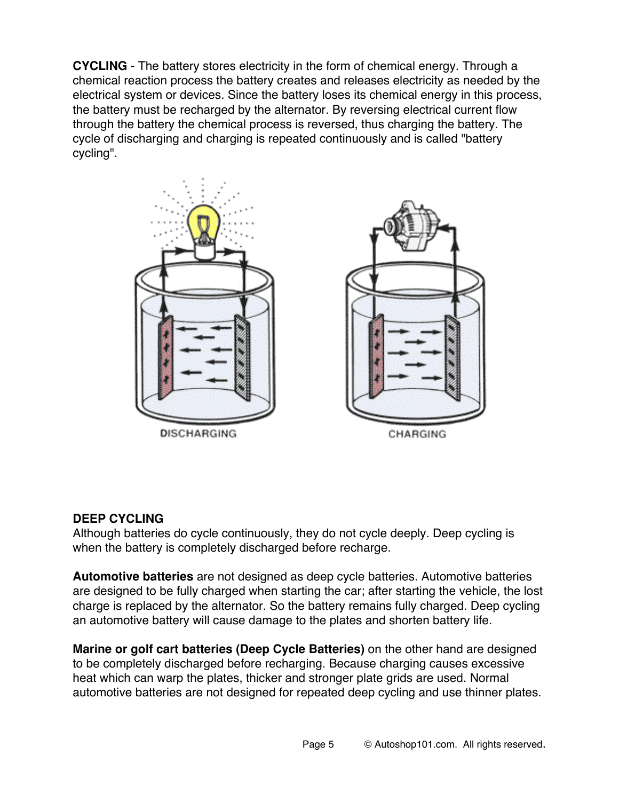**CYCLING** - The battery stores electricity in the form of chemical energy. Through a chemical reaction process the battery creates and releases electricity as needed by the electrical system or devices. Since the battery loses its chemical energy in this process, the battery must be recharged by the alternator. By reversing electrical current flow through the battery the chemical process is reversed, thus charging the battery. The cycle of discharging and charging is repeated continuously and is called "battery cycling".



#### **DEEP CYCLING**

Although batteries do cycle continuously, they do not cycle deeply. Deep cycling is when the battery is completely discharged before recharge.

**Automotive batteries** are not designed as deep cycle batteries. Automotive batteries are designed to be fully charged when starting the car; after starting the vehicle, the lost charge is replaced by the alternator. So the battery remains fully charged. Deep cycling an automotive battery will cause damage to the plates and shorten battery life.

**Marine or golf cart batteries (Deep Cycle Batteries)** on the other hand are designed to be completely discharged before recharging. Because charging causes excessive heat which can warp the plates, thicker and stronger plate grids are used. Normal automotive batteries are not designed for repeated deep cycling and use thinner plates.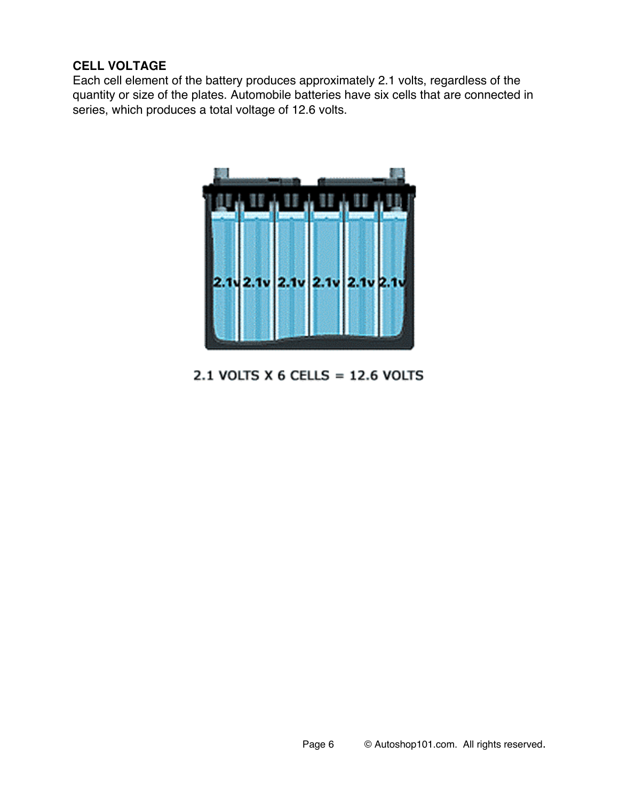### **CELL VOLTAGE**

Each cell element of the battery produces approximately 2.1 volts, regardless of the quantity or size of the plates. Automobile batteries have six cells that are connected in series, which produces a total voltage of 12.6 volts.



# 2.1 VOLTS X 6 CELLS =  $12.6$  VOLTS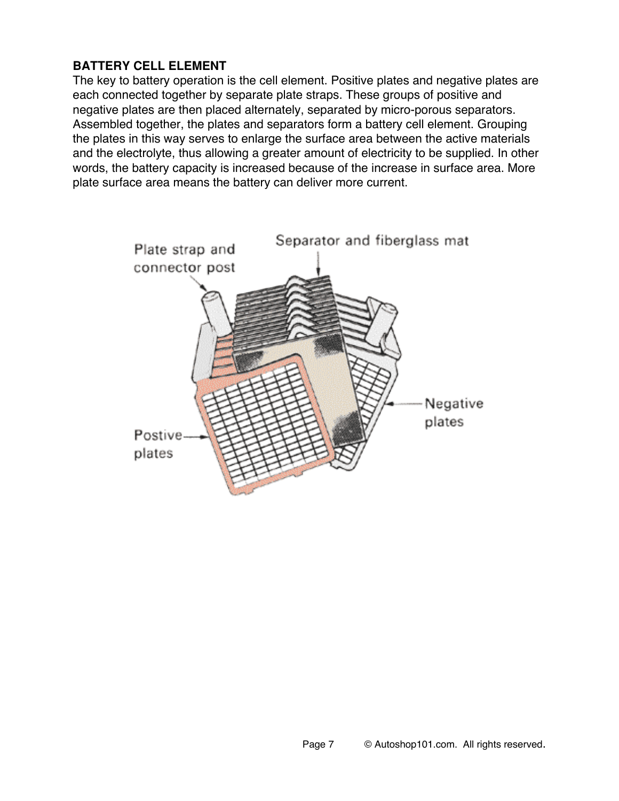# **BATTERY CELL ELEMENT**

The key to battery operation is the cell element. Positive plates and negative plates are each connected together by separate plate straps. These groups of positive and negative plates are then placed alternately, separated by micro-porous separators. Assembled together, the plates and separators form a battery cell element. Grouping the plates in this way serves to enlarge the surface area between the active materials and the electrolyte, thus allowing a greater amount of electricity to be supplied. In other words, the battery capacity is increased because of the increase in surface area. More plate surface area means the battery can deliver more current.

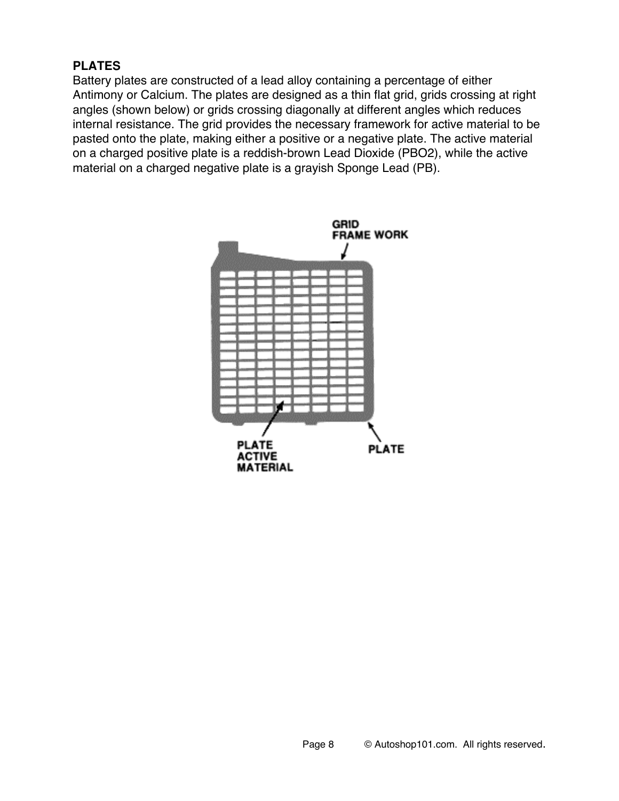### **PLATES**

Battery plates are constructed of a lead alloy containing a percentage of either Antimony or Calcium. The plates are designed as a thin flat grid, grids crossing at right angles (shown below) or grids crossing diagonally at different angles which reduces internal resistance. The grid provides the necessary framework for active material to be pasted onto the plate, making either a positive or a negative plate. The active material on a charged positive plate is a reddish-brown Lead Dioxide (PBO2), while the active material on a charged negative plate is a grayish Sponge Lead (PB).

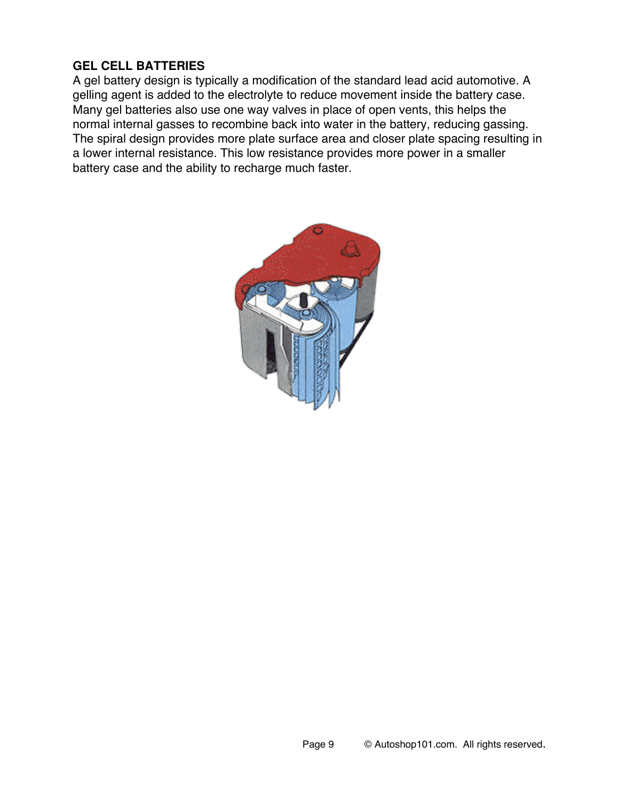## **GEL CELL BATTERIES**

A gel battery design is typically a modification of the standard lead acid automotive. A gelling agent is added to the electrolyte to reduce movement inside the battery case. Many gel batteries also use one way valves in place of open vents, this helps the normal internal gasses to recombine back into water in the battery, reducing gassing. The spiral design provides more plate surface area and closer plate spacing resulting in a lower internal resistance. This low resistance provides more power in a smaller battery case and the ability to recharge much faster.

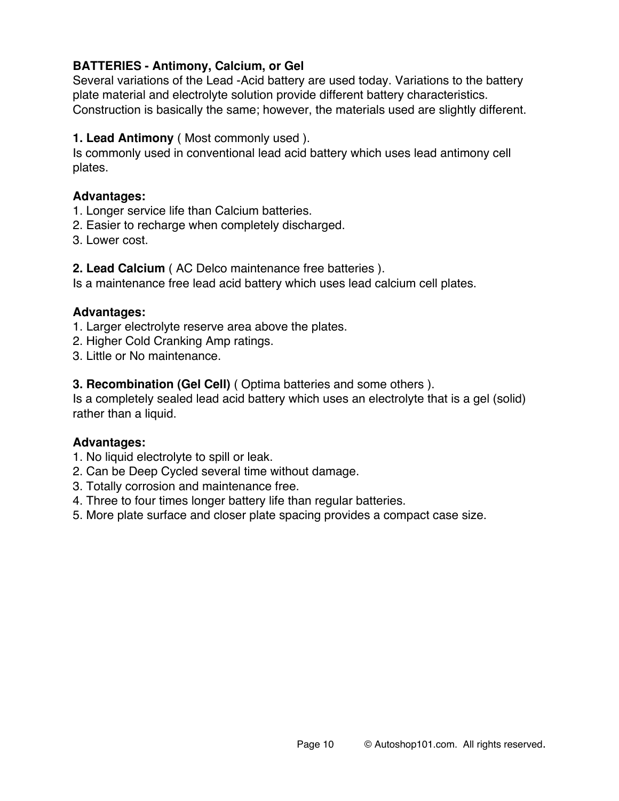## **BATTERIES - Antimony, Calcium, or Gel**

Several variations of the Lead -Acid battery are used today. Variations to the battery plate material and electrolyte solution provide different battery characteristics. Construction is basically the same; however, the materials used are slightly different.

**1. Lead Antimony** ( Most commonly used ).

Is commonly used in conventional lead acid battery which uses lead antimony cell plates.

#### **Advantages:**

- 1. Longer service life than Calcium batteries.
- 2. Easier to recharge when completely discharged.
- 3. Lower cost.

**2. Lead Calcium** ( AC Delco maintenance free batteries ).

Is a maintenance free lead acid battery which uses lead calcium cell plates.

#### **Advantages:**

1. Larger electrolyte reserve area above the plates.

- 2. Higher Cold Cranking Amp ratings.
- 3. Little or No maintenance.

**3. Recombination (Gel Cell)** ( Optima batteries and some others ).

Is a completely sealed lead acid battery which uses an electrolyte that is a gel (solid) rather than a liquid.

#### **Advantages:**

- 1. No liquid electrolyte to spill or leak.
- 2. Can be Deep Cycled several time without damage.
- 3. Totally corrosion and maintenance free.
- 4. Three to four times longer battery life than regular batteries.
- 5. More plate surface and closer plate spacing provides a compact case size.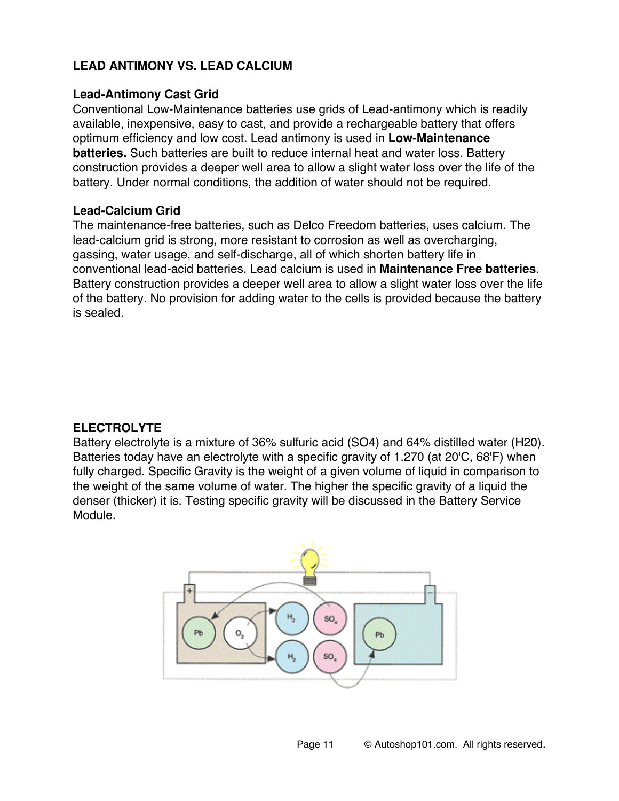## **LEAD ANTIMONY VS. LEAD CALCIUM**

#### **Lead-Antimony Cast Grid**

Conventional Low-Maintenance batteries use grids of Lead-antimony which is readily available, inexpensive, easy to cast, and provide a rechargeable battery that offers optimum efficiency and low cost. Lead antimony is used in **Low-Maintenance batteries.** Such batteries are built to reduce internal heat and water loss. Battery construction provides a deeper well area to allow a slight water loss over the life of the battery. Under normal conditions, the addition of water should not be required.

#### **Lead-Calcium Grid**

The maintenance-free batteries, such as Delco Freedom batteries, uses calcium. The lead-calcium grid is strong, more resistant to corrosion as well as overcharging, gassing, water usage, and self-discharge, all of which shorten battery life in conventional lead-acid batteries. Lead calcium is used in **Maintenance Free batteries**. Battery construction provides a deeper well area to allow a slight water loss over the life of the battery. No provision for adding water to the cells is provided because the battery is sealed.

### **ELECTROLYTE**

Battery electrolyte is a mixture of 36% sulfuric acid (SO4) and 64% distilled water (H20). Batteries today have an electrolyte with a specific gravity of 1.270 (at 20'C, 68'F) when fully charged. Specific Gravity is the weight of a given volume of liquid in comparison to the weight of the same volume of water. The higher the specific gravity of a liquid the denser (thicker) it is. Testing specific gravity will be discussed in the Battery Service Module.

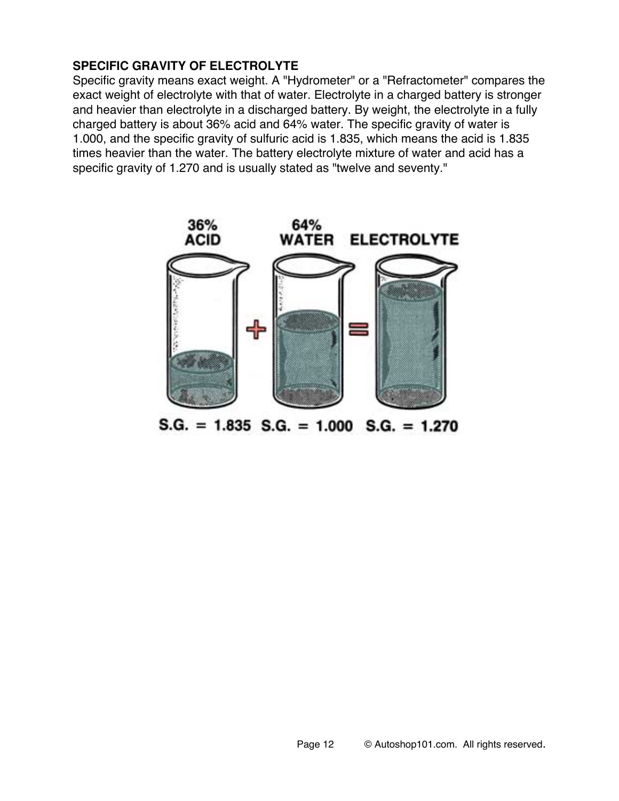### **SPECIFIC GRAVITY OF ELECTROLYTE**

Specific gravity means exact weight. A "Hydrometer" or a "Refractometer" compares the exact weight of electrolyte with that of water. Electrolyte in a charged battery is stronger and heavier than electrolyte in a discharged battery. By weight, the electrolyte in a fully charged battery is about 36% acid and 64% water. The specific gravity of water is 1.000, and the specific gravity of sulfuric acid is 1.835, which means the acid is 1.835 times heavier than the water. The battery electrolyte mixture of water and acid has a specific gravity of 1.270 and is usually stated as "twelve and seventy."



 $S.G. = 1.835$   $S.G. = 1.000$   $S.G. = 1.270$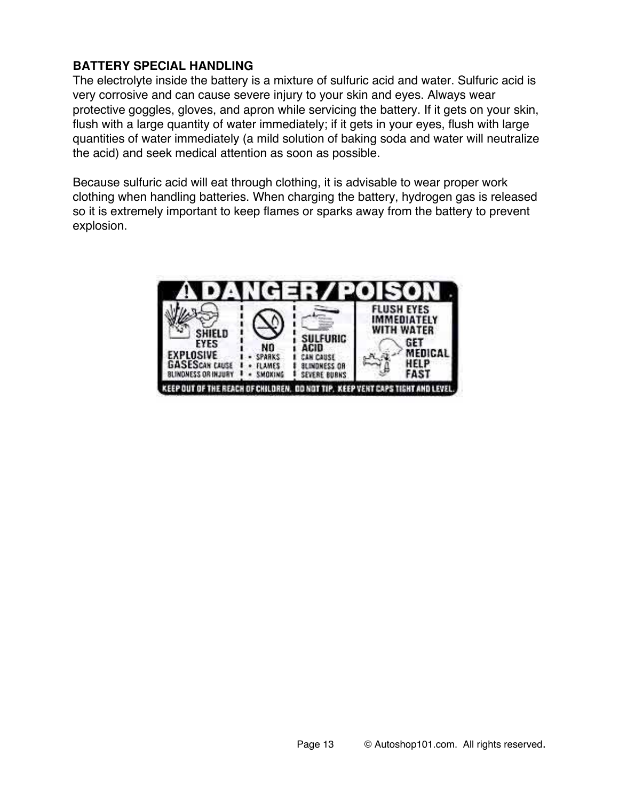## **BATTERY SPECIAL HANDLING**

The electrolyte inside the battery is a mixture of sulfuric acid and water. Sulfuric acid is very corrosive and can cause severe injury to your skin and eyes. Always wear protective goggles, gloves, and apron while servicing the battery. If it gets on your skin, flush with a large quantity of water immediately; if it gets in your eyes, flush with large quantities of water immediately (a mild solution of baking soda and water will neutralize the acid) and seek medical attention as soon as possible.

Because sulfuric acid will eat through clothing, it is advisable to wear proper work clothing when handling batteries. When charging the battery, hydrogen gas is released so it is extremely important to keep flames or sparks away from the battery to prevent explosion.

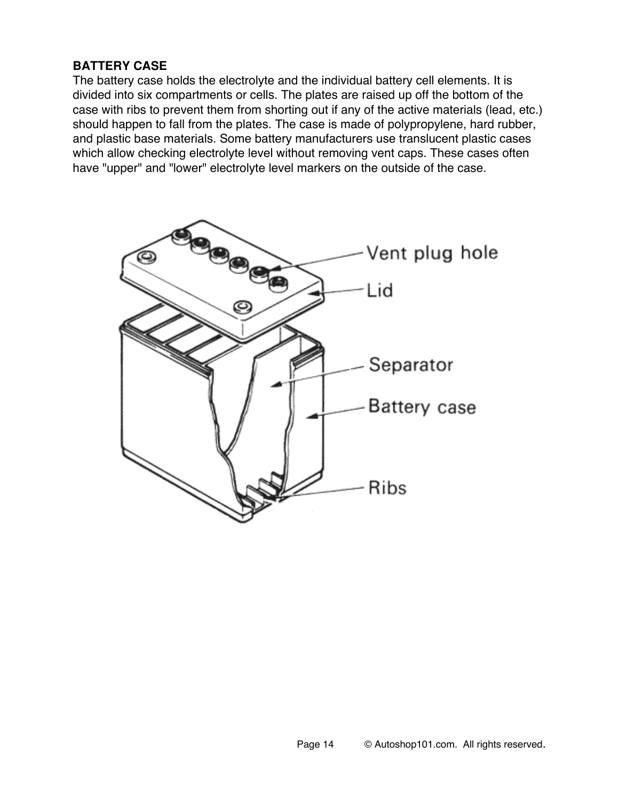### **BATTERY CASE**

The battery case holds the electrolyte and the individual battery cell elements. It is divided into six compartments or cells. The plates are raised up off the bottom of the case with ribs to prevent them from shorting out if any of the active materials (lead, etc.) should happen to fall from the plates. The case is made of polypropylene, hard rubber, and plastic base materials. Some battery manufacturers use translucent plastic cases which allow checking electrolyte level without removing vent caps. These cases often have "upper" and "lower" electrolyte level markers on the outside of the case.

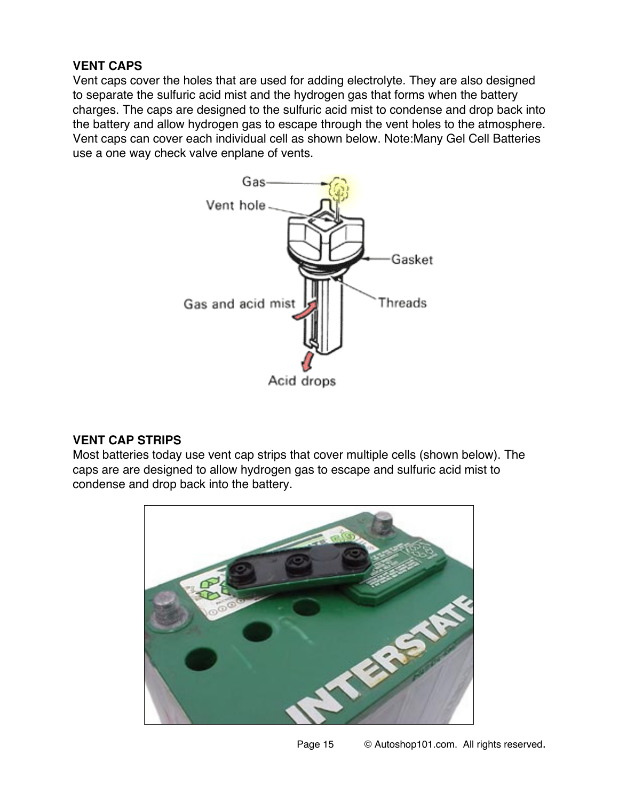## **VENT CAPS**

Vent caps cover the holes that are used for adding electrolyte. They are also designed to separate the sulfuric acid mist and the hydrogen gas that forms when the battery charges. The caps are designed to the sulfuric acid mist to condense and drop back into the battery and allow hydrogen gas to escape through the vent holes to the atmosphere. Vent caps can cover each individual cell as shown below. Note:Many Gel Cell Batteries use a one way check valve enplane of vents.



# **VENT CAP STRIPS**

Most batteries today use vent cap strips that cover multiple cells (shown below). The caps are are designed to allow hydrogen gas to escape and sulfuric acid mist to condense and drop back into the battery.

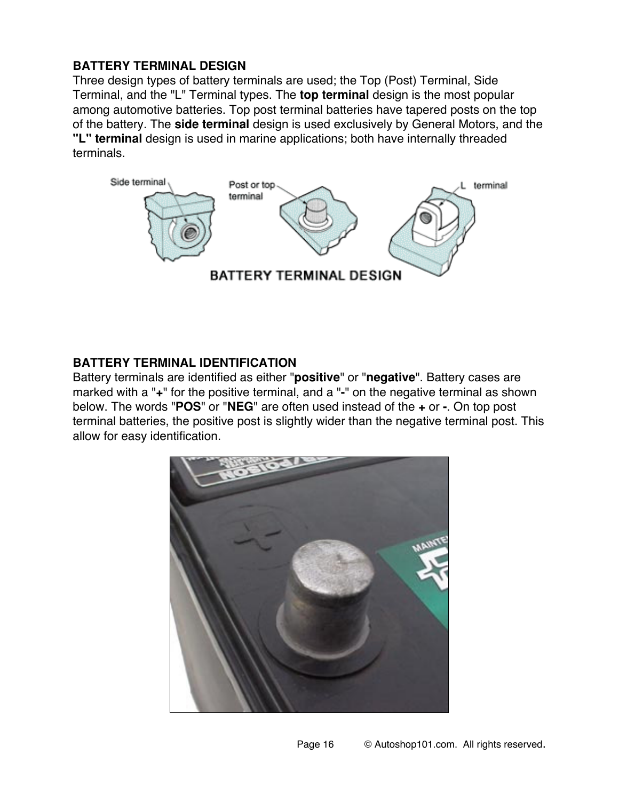## **BATTERY TERMINAL DESIGN**

Three design types of battery terminals are used; the Top (Post) Terminal, Side Terminal, and the "L" Terminal types. The **top terminal** design is the most popular among automotive batteries. Top post terminal batteries have tapered posts on the top of the battery. The **side terminal** design is used exclusively by General Motors, and the **"L" terminal** design is used in marine applications; both have internally threaded terminals.



### **BATTERY TERMINAL IDENTIFICATION**

Battery terminals are identified as either "**positive**" or "**negative**". Battery cases are marked with a "**+**" for the positive terminal, and a "**-**" on the negative terminal as shown below. The words "**POS**" or "**NEG**" are often used instead of the **+** or **-**. On top post terminal batteries, the positive post is slightly wider than the negative terminal post. This allow for easy identification.

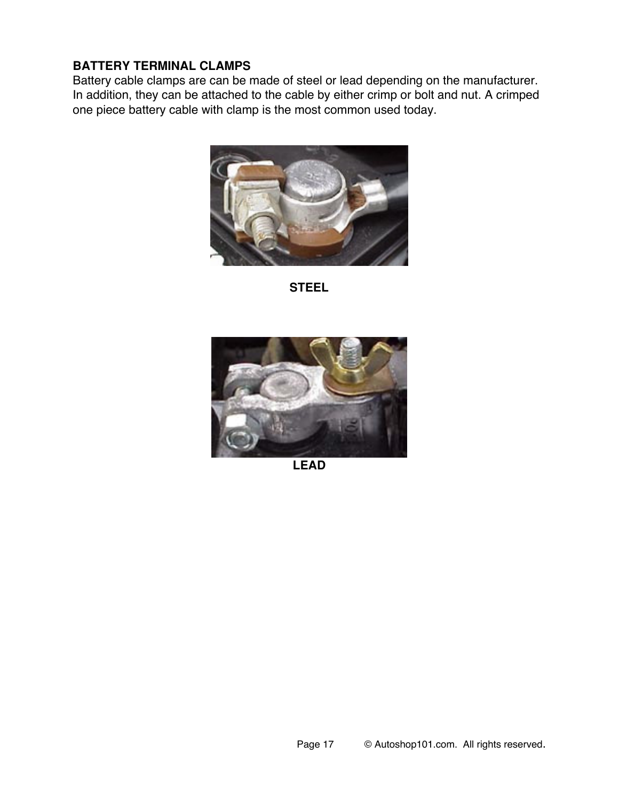#### **BATTERY TERMINAL CLAMPS**

Battery cable clamps are can be made of steel or lead depending on the manufacturer. In addition, they can be attached to the cable by either crimp or bolt and nut. A crimped one piece battery cable with clamp is the most common used today.



**STEEL**



**LEAD**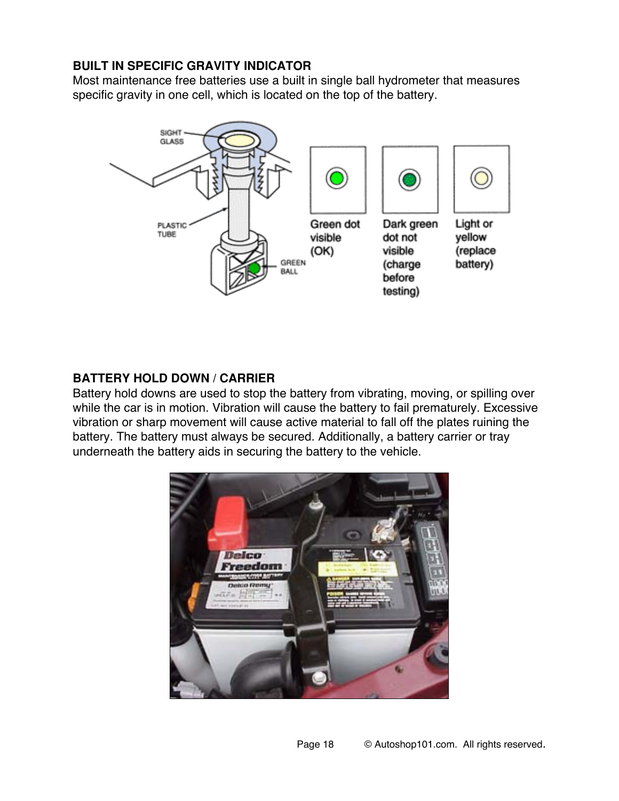## **BUILT IN SPECIFIC GRAVITY INDICATOR**

Most maintenance free batteries use a built in single ball hydrometer that measures specific gravity in one cell, which is located on the top of the battery.



## **BATTERY HOLD DOWN / CARRIER**

Battery hold downs are used to stop the battery from vibrating, moving, or spilling over while the car is in motion. Vibration will cause the battery to fail prematurely. Excessive vibration or sharp movement will cause active material to fall off the plates ruining the battery. The battery must always be secured. Additionally, a battery carrier or tray underneath the battery aids in securing the battery to the vehicle.

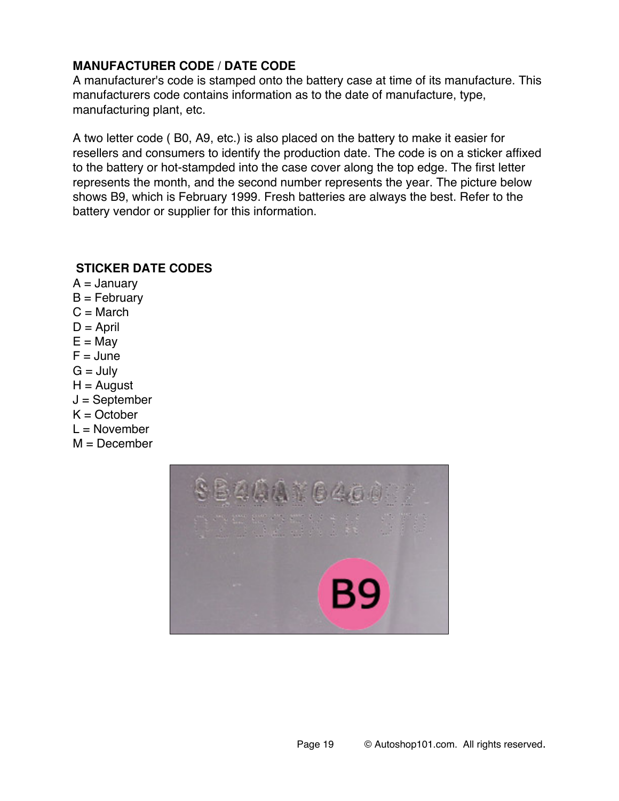## **MANUFACTURER CODE / DATE CODE**

A manufacturer's code is stamped onto the battery case at time of its manufacture. This manufacturers code contains information as to the date of manufacture, type, manufacturing plant, etc.

A two letter code ( B0, A9, etc.) is also placed on the battery to make it easier for resellers and consumers to identify the production date. The code is on a sticker affixed to the battery or hot-stampded into the case cover along the top edge. The first letter represents the month, and the second number represents the year. The picture below shows B9, which is February 1999. Fresh batteries are always the best. Refer to the battery vendor or supplier for this information.

### **STICKER DATE CODES**

 $A =$  January  $B = Fe$ bruary  $C = March$  $D =$ April  $E =$ May  $F =$  June  $G =$  July  $H =$  August  $J =$  September  $K = October$  $L =$  November  $M =$  December

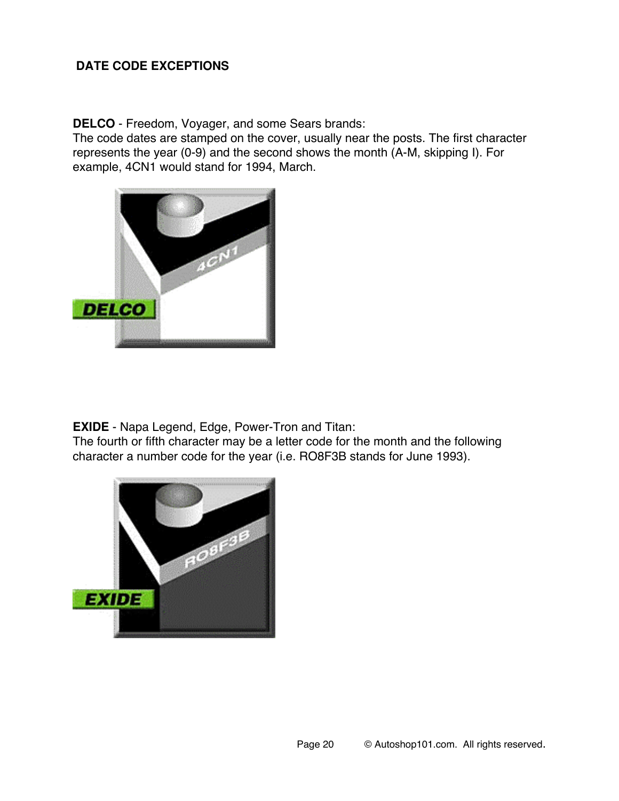## **DATE CODE EXCEPTIONS**

**DELCO** - Freedom, Voyager, and some Sears brands:

The code dates are stamped on the cover, usually near the posts. The first character represents the year (0-9) and the second shows the month (A-M, skipping I). For example, 4CN1 would stand for 1994, March.



**EXIDE** - Napa Legend, Edge, Power-Tron and Titan:

The fourth or fifth character may be a letter code for the month and the following character a number code for the year (i.e. RO8F3B stands for June 1993).

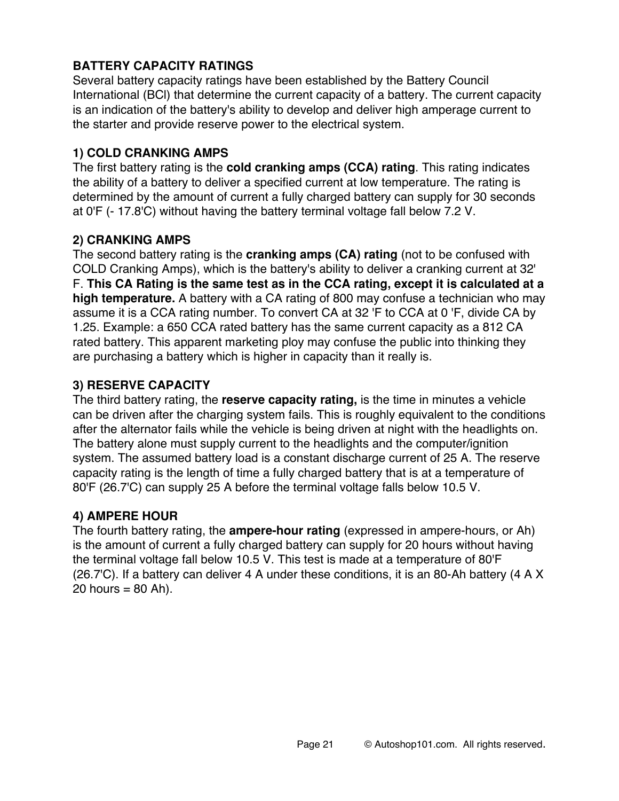# **BATTERY CAPACITY RATINGS**

Several battery capacity ratings have been established by the Battery Council International (BCl) that determine the current capacity of a battery. The current capacity is an indication of the battery's ability to develop and deliver high amperage current to the starter and provide reserve power to the electrical system.

# **1) COLD CRANKING AMPS**

The first battery rating is the **cold cranking amps (CCA) rating**. This rating indicates the ability of a battery to deliver a specified current at low temperature. The rating is determined by the amount of current a fully charged battery can supply for 30 seconds at 0'F (- 17.8'C) without having the battery terminal voltage fall below 7.2 V.

## **2) CRANKING AMPS**

The second battery rating is the **cranking amps (CA) rating** (not to be confused with COLD Cranking Amps), which is the battery's ability to deliver a cranking current at 32' F. **This CA Rating is the same test as in the CCA rating, except it is calculated at a high temperature.** A battery with a CA rating of 800 may confuse a technician who may assume it is a CCA rating number. To convert CA at 32 'F to CCA at 0 'F, divide CA by 1.25. Example: a 650 CCA rated battery has the same current capacity as a 812 CA rated battery. This apparent marketing ploy may confuse the public into thinking they are purchasing a battery which is higher in capacity than it really is.

## **3) RESERVE CAPACITY**

The third battery rating, the **reserve capacity rating,** is the time in minutes a vehicle can be driven after the charging system fails. This is roughly equivalent to the conditions after the alternator fails while the vehicle is being driven at night with the headlights on. The battery alone must supply current to the headlights and the computer/ignition system. The assumed battery load is a constant discharge current of 25 A. The reserve capacity rating is the length of time a fully charged battery that is at a temperature of 80'F (26.7'C) can supply 25 A before the terminal voltage falls below 10.5 V.

### **4) AMPERE HOUR**

The fourth battery rating, the **ampere-hour rating** (expressed in ampere-hours, or Ah) is the amount of current a fully charged battery can supply for 20 hours without having the terminal voltage fall below 10.5 V. This test is made at a temperature of 80'F (26.7'C). If a battery can deliver 4 A under these conditions, it is an 80-Ah battery (4 A X 20 hours  $= 80$  Ah).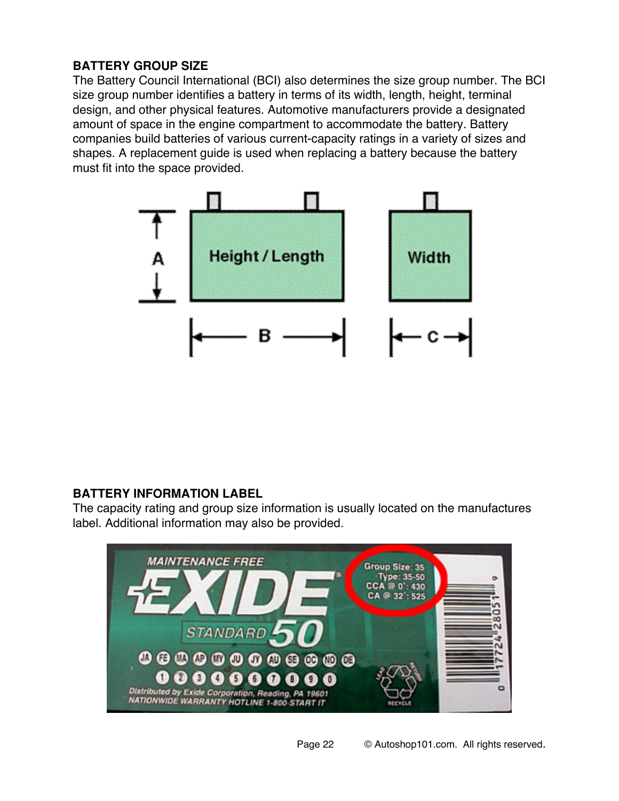# **BATTERY GROUP SIZE**

The Battery Council International (BCI) also determines the size group number. The BCI size group number identifies a battery in terms of its width, length, height, terminal design, and other physical features. Automotive manufacturers provide a designated amount of space in the engine compartment to accommodate the battery. Battery companies build batteries of various current-capacity ratings in a variety of sizes and shapes. A replacement guide is used when replacing a battery because the battery must fit into the space provided.



### **BATTERY INFORMATION LABEL**

The capacity rating and group size information is usually located on the manufactures label. Additional information may also be provided.